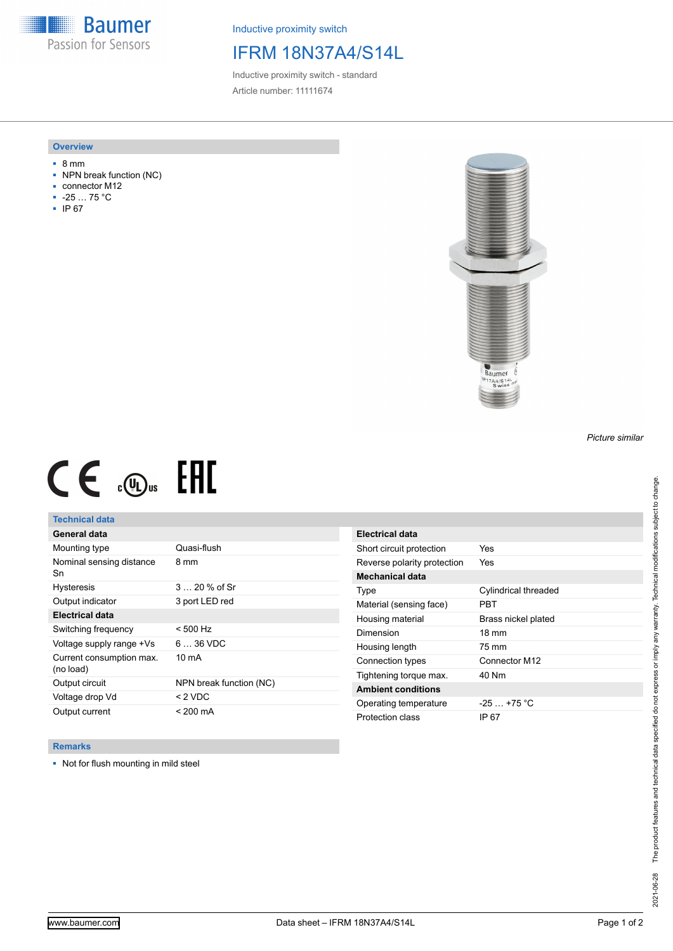**Baumer** Passion for Sensors

Inductive proximity switch

## IFRM 18N37A4/S14L

Inductive proximity switch - standard Article number: 11111674

#### **Overview**

- 8 mm
- NPN break function (NC)
- connector M12
- -25 … 75 °C
- IP 67



# $CE \oplus E$

### **Technical data**

| General data                          |                         |
|---------------------------------------|-------------------------|
| Mounting type                         | Quasi-flush             |
| Nominal sensing distance<br>Sn        | 8 mm                    |
| <b>Hysteresis</b>                     | 3  20 % of Sr           |
| Output indicator                      | 3 port LED red          |
| <b>Electrical data</b>                |                         |
| Switching frequency                   | $< 500$ Hz              |
| Voltage supply range +Vs              | $636$ VDC               |
| Current consumption max.<br>(no load) | $10 \text{ mA}$         |
| Output circuit                        | NPN break function (NC) |
| Voltage drop Vd                       | $<$ 2 VDC               |
| Output current                        | < 200 mA                |

| <b>Electrical data</b>      |                      |
|-----------------------------|----------------------|
| Short circuit protection    | Yes                  |
| Reverse polarity protection | Yes                  |
| Mechanical data             |                      |
| Type                        | Cylindrical threaded |
| Material (sensing face)     | PRT                  |
| Housing material            | Brass nickel plated  |
| Dimension                   | $18 \text{ mm}$      |
| Housing length              | 75 mm                |
| Connection types            | Connector M12        |
| Tightening torque max.      | 40 Nm                |
| <b>Ambient conditions</b>   |                      |
| Operating temperature       | $-25+75 °C$          |
| Protection class            | IP 67                |

#### **Remarks**

■ Not for flush mounting in mild steel

*Picture similar*